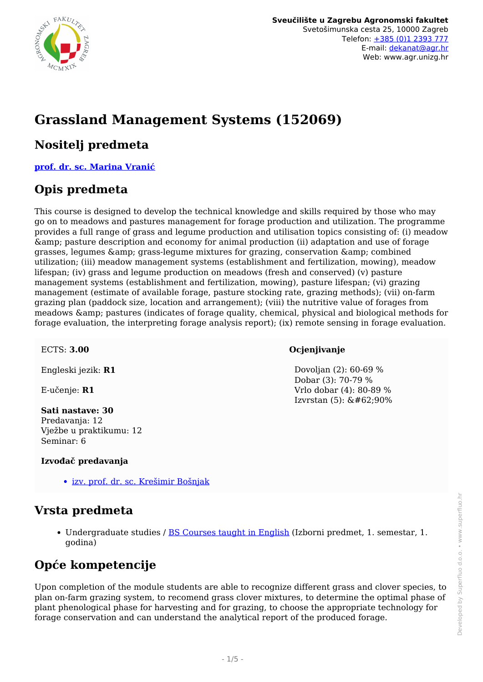

# **Grassland Management Systems (152069)**

### **Nositelj predmeta**

**[prof. dr. sc. Marina Vranić](/hr/member/97)**

## **Opis predmeta**

This course is designed to develop the technical knowledge and skills required by those who may go on to meadows and pastures management for forage production and utilization. The programme provides a full range of grass and legume production and utilisation topics consisting of: (i) meadow & pasture description and economy for animal production (ii) adaptation and use of forage grasses, legumes & grass-legume mixtures for grazing, conservation & combined utilization; (iii) meadow management systems (establishment and fertilization, mowing), meadow lifespan; (iv) grass and legume production on meadows (fresh and conserved) (v) pasture management systems (establishment and fertilization, mowing), pasture lifespan; (vi) grazing management (estimate of available forage, pasture stocking rate, grazing methods); (vii) on-farm grazing plan (paddock size, location and arrangement); (viii) the nutritive value of forages from meadows & amp; pastures (indicates of forage quality, chemical, physical and biological methods for forage evaluation, the interpreting forage analysis report); (ix) remote sensing in forage evaluation.

ECTS: **3.00**

Engleski jezik: **R1**

E-učenje: **R1**

**Sati nastave: 30** Predavanja: 12 Vježbe u praktikumu: 12 Seminar: 6

#### **Izvođač predavanja**

• [izv. prof. dr. sc. Krešimir Bošnjak](/hr/member/102)

## **Vrsta predmeta**

• Undergraduate studies / **BS Courses taught in English** (Izborni predmet, 1. semestar, 1. godina)

# **Opće kompetencije**

Upon completion of the module students are able to recognize different grass and clover species, to plan on-farm grazing system, to recomend grass clover mixtures, to determine the optimal phase of plant phenological phase for harvesting and for grazing, to choose the appropriate technology for forage conservation and can understand the analytical report of the produced forage.

#### **Ocjenjivanje**

 Dovoljan (2): 60-69 % Dobar (3): 70-79 % Vrlo dobar (4): 80-89 % Izvrstan  $(5)$ :  $&\#62;90\%$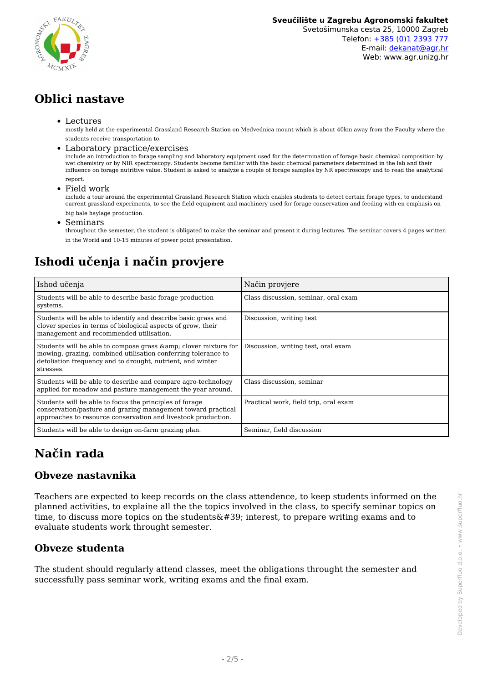

Web: www.agr.unizg.hr

# **Oblici nastave**

#### Lectures

mostly held at the experimental Grassland Research Station on Medvednica mount which is about 40km away from the Faculty where the students receive transportation to.

#### Laboratory practice/exercises

include an introduction to forage sampling and laboratory equipment used for the determination of forage basic chemical composition by wet chemistry or by NIR spectroscopy. Students become familiar with the basic chemical parameters determined in the lab and their influence on forage nutritive value. Student is asked to analyze a couple of forage samples by NR spectroscopy and to read the analytical report.

Field work

include a tour around the experimental Grassland Research Station which enables students to detect certain forage types, to understand current grassland experiments, to see the field equipment and machinery used for forage conservation and feeding with en emphasis on big bale haylage production.

Seminars  $\bullet$ 

throughout the semester, the student is obligated to make the seminar and present it during lectures. The seminar covers 4 pages written in the World and 10-15 minutes of power point presentation.

# **Ishodi učenja i način provjere**

| Ishod učenja                                                                                                                                                                                                 | Način provjere                        |
|--------------------------------------------------------------------------------------------------------------------------------------------------------------------------------------------------------------|---------------------------------------|
| Students will be able to describe basic for age production<br>systems.                                                                                                                                       | Class discussion, seminar, oral exam  |
| Students will be able to identify and describe basic grass and<br>clover species in terms of biological aspects of grow, their<br>management and recommended utilisation.                                    | Discussion, writing test              |
| Students will be able to compose grass & amp; clover mixture for<br>mowing, grazing, combined utilisation conferring tolerance to<br>defoliation frequency and to drought, nutrient, and winter<br>stresses. | Discussion, writing test, oral exam   |
| Students will be able to describe and compare agro-technology<br>applied for meadow and pasture management the year around.                                                                                  | Class discussion, seminar             |
| Students will be able to focus the principles of forage<br>conservation/pasture and grazing management toward practical<br>approaches to resource conservation and livestock production.                     | Practical work, field trip, oral exam |
| Students will be able to design on-farm grazing plan.                                                                                                                                                        | Seminar, field discussion             |

# **Način rada**

### **Obveze nastavnika**

Teachers are expected to keep records on the class attendence, to keep students informed on the planned activities, to explaine all the the topics involved in the class, to specify seminar topics on time, to discuss more topics on the students  $\&\#39$ ; interest, to prepare writing exams and to evaluate students work throught semester.

### **Obveze studenta**

The student should regularly attend classes, meet the obligations throught the semester and successfully pass seminar work, writing exams and the final exam.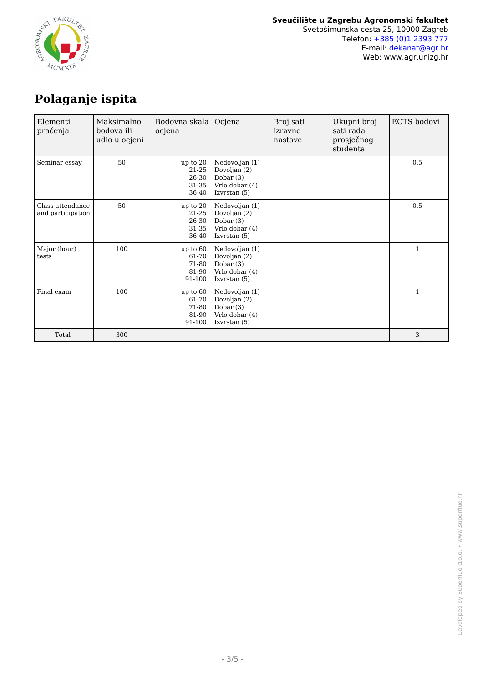

# **Polaganje ispita**

| Elementi<br>praćenja                  | Maksimalno<br>bodova ili<br>udio u ocjeni | Bodovna skala  <br>ocjena                       | Ocjena                                                                            | Broj sati<br>izravne<br>nastave | Ukupni broj<br>sati rada<br>prosječnog<br>studenta | ECTS bodovi  |
|---------------------------------------|-------------------------------------------|-------------------------------------------------|-----------------------------------------------------------------------------------|---------------------------------|----------------------------------------------------|--------------|
| Seminar essay                         | 50                                        | up to $20$<br>21-25<br>26-30<br>31-35<br>36-40  | Nedovoljan (1)<br>Dovoljan (2)<br>Dobar $(3)$<br>Vrlo dobar (4)<br>Izvrstan (5)   |                                 |                                                    | 0.5          |
| Class attendance<br>and participation | 50                                        | up to $20$<br>21-25<br>26-30<br>31-35<br>36-40  | Nedovoljan (1)<br>Dovoljan (2)<br>Dobar $(3)$<br>Vrlo dobar (4)<br>Izvrstan $(5)$ |                                 |                                                    | 0.5          |
| Major (hour)<br>tests                 | 100                                       | up to $60$<br>61-70<br>71-80<br>81-90<br>91-100 | Nedovoljan (1)<br>Dovoljan (2)<br>Dobar $(3)$<br>Vrlo dobar (4)<br>Izvrstan $(5)$ |                                 |                                                    | $\mathbf{1}$ |
| Final exam                            | 100                                       | up to $60$<br>61-70<br>71-80<br>81-90<br>91-100 | Nedovoljan (1)<br>Dovoljan (2)<br>Dobar $(3)$<br>Vrlo dobar (4)<br>Izvrstan $(5)$ |                                 |                                                    | $\mathbf{1}$ |
| Total                                 | 300                                       |                                                 |                                                                                   |                                 |                                                    | 3            |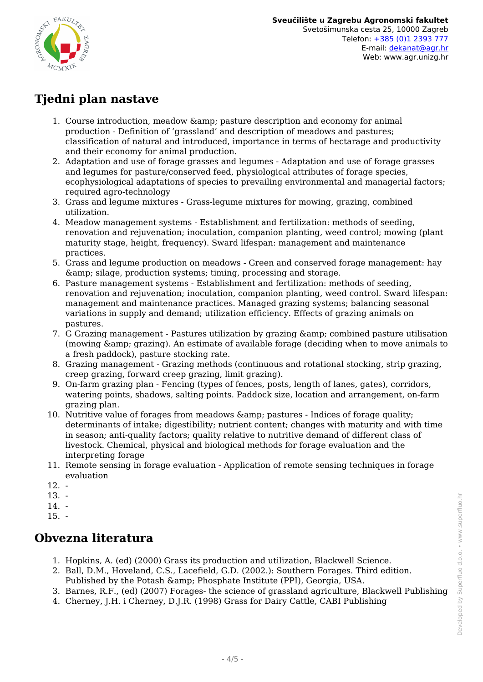

# **Tjedni plan nastave**

- 1. Course introduction, meadow & amp; pasture description and economy for animal production - Definition of 'grassland' and description of meadows and pastures; classification of natural and introduced, importance in terms of hectarage and productivity and their economy for animal production.
- 2. Adaptation and use of forage grasses and legumes Adaptation and use of forage grasses and legumes for pasture/conserved feed, physiological attributes of forage species, ecophysiological adaptations of species to prevailing environmental and managerial factors; required agro-technology
- 3. Grass and legume mixtures Grass-legume mixtures for mowing, grazing, combined utilization.
- 4. Meadow management systems Establishment and fertilization: methods of seeding, renovation and rejuvenation; inoculation, companion planting, weed control; mowing (plant maturity stage, height, frequency). Sward lifespan: management and maintenance practices.
- 5. Grass and legume production on meadows Green and conserved forage management: hay  $\&$ ; silage, production systems; timing, processing and storage.
- 6. Pasture management systems Establishment and fertilization: methods of seeding, renovation and rejuvenation; inoculation, companion planting, weed control. Sward lifespan: management and maintenance practices. Managed grazing systems; balancing seasonal variations in supply and demand; utilization efficiency. Effects of grazing animals on pastures.
- 7. G Grazing management Pastures utilization by grazing & combined pasture utilisation (mowing & amp; grazing). An estimate of available forage (deciding when to move animals to a fresh paddock), pasture stocking rate.
- 8. Grazing management Grazing methods (continuous and rotational stocking, strip grazing, creep grazing, forward creep grazing, limit grazing).
- 9. On-farm grazing plan Fencing (types of fences, posts, length of lanes, gates), corridors, watering points, shadows, salting points. Paddock size, location and arrangement, on-farm grazing plan.
- 10. Nutritive value of forages from meadows & amp; pastures Indices of forage quality; determinants of intake; digestibility; nutrient content; changes with maturity and with time in season; anti-quality factors; quality relative to nutritive demand of different class of livestock. Chemical, physical and biological methods for forage evaluation and the interpreting forage
- 11. Remote sensing in forage evaluation Application of remote sensing techniques in forage evaluation
- $12. -$
- 13. -
- 14. -
- $15. -$

# **Obvezna literatura**

- 1. Hopkins, A. (ed) (2000) Grass its production and utilization, Blackwell Science.
- 2. Ball, D.M., Hoveland, C.S., Lacefield, G.D. (2002.): Southern Forages. Third edition. Published by the Potash & amp; Phosphate Institute (PPI), Georgia, USA.
- 3. Barnes, R.F., (ed) (2007) Forages- the science of grassland agriculture, Blackwell Publishing
- 4. Cherney, J.H. i Cherney, D.J.R. (1998) Grass for Dairy Cattle, CABI Publishing